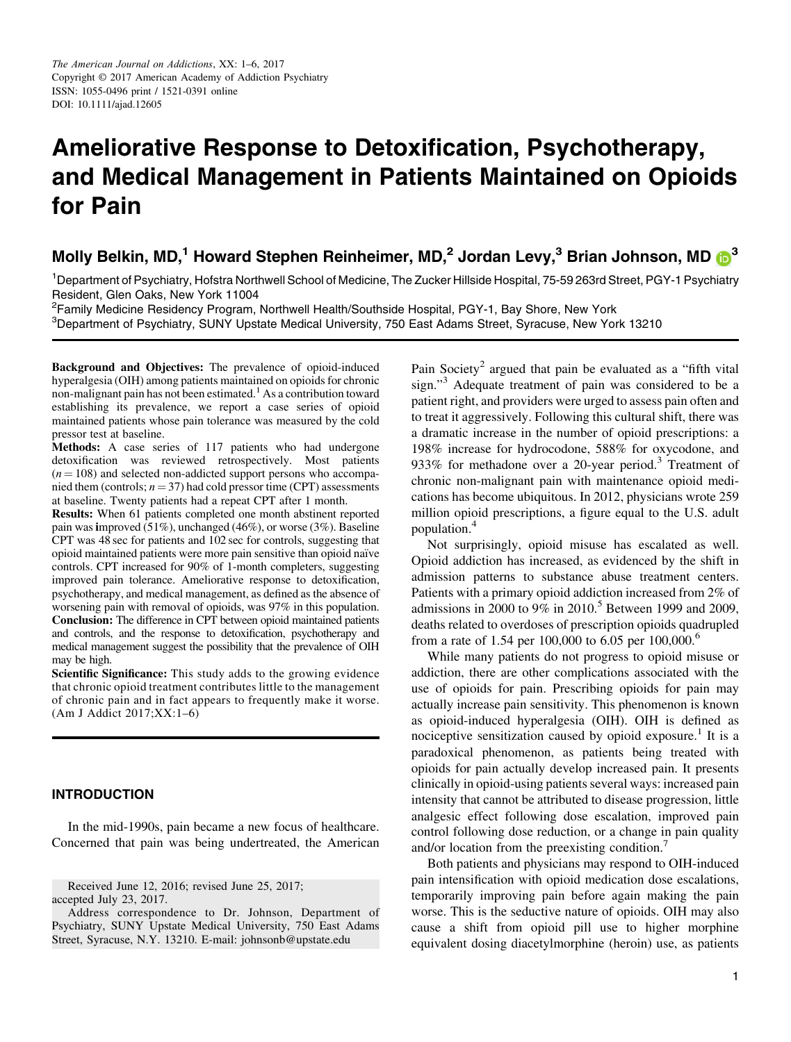# Ameliorative Response to Detoxification, Psychotherapy, and Medical Management in Patients Maintained on Opioids for Pain

# Molly Belkin, MD,<sup>1</sup> Howard Stephen Reinheimer, MD,<sup>2</sup> Jordan Levy,<sup>3</sup> Brian Johnson, MD  $\bullet^3$

<sup>1</sup>Department of Psychiatry, Hofstra Northwell School of Medicine, The Zucker Hillside Hospital, 75-59 263rd Street, PGY-1 Psychiatry Resident, Glen Oaks, New York 11004

<sup>2</sup>Family Medicine Residency Program, Northwell Health/Southside Hospital, PGY-1, Bay Shore, New York <sup>3</sup>Department of Psychiatry, SUNY Upstate Medical University, 750 East Adams Street, Syracuse, New York 13210

Background and Objectives: The prevalence of opioid-induced hyperalgesia (OIH) among patients maintained on opioids for chronic non-malignant pain has not been estimated.<sup>1</sup> As a contribution toward establishing its prevalence, we report a case series of opioid maintained patients whose pain tolerance was measured by the cold pressor test at baseline.

Methods: A case series of 117 patients who had undergone detoxification was reviewed retrospectively. Most patients  $(n = 108)$  and selected non-addicted support persons who accompanied them (controls;  $n = 37$ ) had cold pressor time (CPT) assessments at baseline. Twenty patients had a repeat CPT after 1 month.

Results: When 61 patients completed one month abstinent reported pain was improved (51%), unchanged (46%), or worse (3%). Baseline CPT was 48 sec for patients and 102 sec for controls, suggesting that opioid maintained patients were more pain sensitive than opioid naïve controls. CPT increased for 90% of 1-month completers, suggesting improved pain tolerance. Ameliorative response to detoxification, psychotherapy, and medical management, as defined as the absence of worsening pain with removal of opioids, was 97% in this population. Conclusion: The difference in CPT between opioid maintained patients and controls, and the response to detoxification, psychotherapy and medical management suggest the possibility that the prevalence of OIH may be high.

Scientific Significance: This study adds to the growing evidence that chronic opioid treatment contributes little to the management of chronic pain and in fact appears to frequently make it worse. (Am J Addict 2017;XX:1–6)

# INTRODUCTION

In the mid-1990s, pain became a new focus of healthcare. Concerned that pain was being undertreated, the American

Received June 12, 2016; revised June 25, 2017; accepted July 23, 2017.

Address correspondence to Dr. Johnson, Department of Psychiatry, SUNY Upstate Medical University, 750 East Adams Street, Syracuse, N.Y. 13210. E-mail: johnsonb@upstate.edu

Pain Society<sup>2</sup> argued that pain be evaluated as a "fifth vital" sign." <sup>3</sup> Adequate treatment of pain was considered to be a patient right, and providers were urged to assess pain often and to treat it aggressively. Following this cultural shift, there was a dramatic increase in the number of opioid prescriptions: a 198% increase for hydrocodone, 588% for oxycodone, and 933% for methadone over a 20-year period.<sup>3</sup> Treatment of chronic non-malignant pain with maintenance opioid medications has become ubiquitous. In 2012, physicians wrote 259 million opioid prescriptions, a figure equal to the U.S. adult population.<sup>4</sup>

Not surprisingly, opioid misuse has escalated as well. Opioid addiction has increased, as evidenced by the shift in admission patterns to substance abuse treatment centers. Patients with a primary opioid addiction increased from 2% of admissions in 2000 to 9% in 2010.<sup>5</sup> Between 1999 and 2009, deaths related to overdoses of prescription opioids quadrupled from a rate of 1.54 per 100,000 to 6.05 per  $100,000$ .<sup>6</sup>

While many patients do not progress to opioid misuse or addiction, there are other complications associated with the use of opioids for pain. Prescribing opioids for pain may actually increase pain sensitivity. This phenomenon is known as opioid-induced hyperalgesia (OIH). OIH is defined as nociceptive sensitization caused by opioid exposure.<sup>1</sup> It is a paradoxical phenomenon, as patients being treated with opioids for pain actually develop increased pain. It presents clinically in opioid-using patients several ways: increased pain intensity that cannot be attributed to disease progression, little analgesic effect following dose escalation, improved pain control following dose reduction, or a change in pain quality and/or location from the preexisting condition.<sup>7</sup>

Both patients and physicians may respond to OIH-induced pain intensification with opioid medication dose escalations, temporarily improving pain before again making the pain worse. This is the seductive nature of opioids. OIH may also cause a shift from opioid pill use to higher morphine equivalent dosing diacetylmorphine (heroin) use, as patients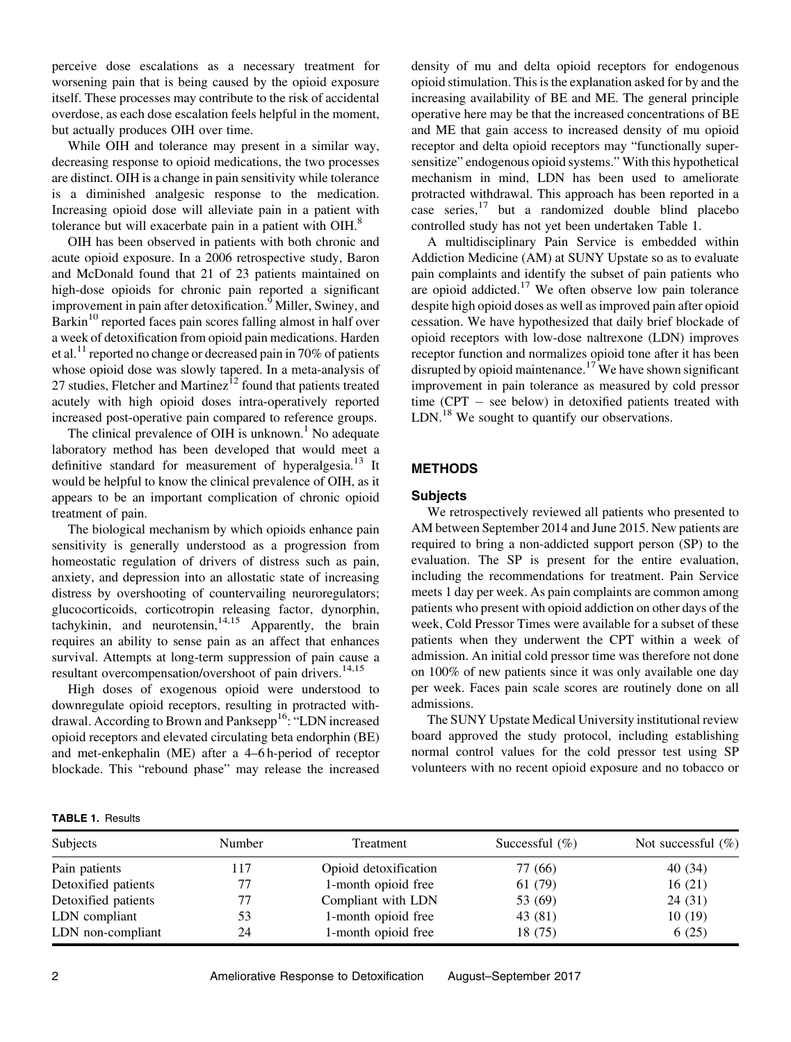perceive dose escalations as a necessary treatment for worsening pain that is being caused by the opioid exposure itself. These processes may contribute to the risk of accidental overdose, as each dose escalation feels helpful in the moment, but actually produces OIH over time.

While OIH and tolerance may present in a similar way, decreasing response to opioid medications, the two processes are distinct. OIH is a change in pain sensitivity while tolerance is a diminished analgesic response to the medication. Increasing opioid dose will alleviate pain in a patient with tolerance but will exacerbate pain in a patient with OIH.<sup>8</sup>

OIH has been observed in patients with both chronic and acute opioid exposure. In a 2006 retrospective study, Baron and McDonald found that 21 of 23 patients maintained on high-dose opioids for chronic pain reported a significant improvement in pain after detoxification.<sup>9</sup> Miller, Swiney, and Barkin<sup>10</sup> reported faces pain scores falling almost in half over a week of detoxification from opioid pain medications. Harden et al.<sup>11</sup> reported no change or decreased pain in 70% of patients whose opioid dose was slowly tapered. In a meta-analysis of 27 studies, Fletcher and Martinez $1/2$  found that patients treated acutely with high opioid doses intra-operatively reported increased post-operative pain compared to reference groups.

The clinical prevalence of OIH is unknown.<sup>1</sup> No adequate laboratory method has been developed that would meet a definitive standard for measurement of hyperalgesia.<sup>13</sup> It would be helpful to know the clinical prevalence of OIH, as it appears to be an important complication of chronic opioid treatment of pain.

The biological mechanism by which opioids enhance pain sensitivity is generally understood as a progression from homeostatic regulation of drivers of distress such as pain, anxiety, and depression into an allostatic state of increasing distress by overshooting of countervailing neuroregulators; glucocorticoids, corticotropin releasing factor, dynorphin, tachykinin, and neurotensin,  $14,15$  Apparently, the brain requires an ability to sense pain as an affect that enhances survival. Attempts at long-term suppression of pain cause a resultant overcompensation/overshoot of pain drivers.<sup>14,15</sup>

High doses of exogenous opioid were understood to downregulate opioid receptors, resulting in protracted withdrawal. According to Brown and Panksepp<sup>16</sup>: "LDN increased opioid receptors and elevated circulating beta endorphin (BE) and met-enkephalin (ME) after a 4–6 h-period of receptor blockade. This "rebound phase" may release the increased

density of mu and delta opioid receptors for endogenous opioid stimulation. This is the explanation asked for by and the increasing availability of BE and ME. The general principle operative here may be that the increased concentrations of BE and ME that gain access to increased density of mu opioid receptor and delta opioid receptors may "functionally supersensitize" endogenous opioid systems." With this hypothetical mechanism in mind, LDN has been used to ameliorate protracted withdrawal. This approach has been reported in a case series, $17$  but a randomized double blind placebo controlled study has not yet been undertaken Table 1.

A multidisciplinary Pain Service is embedded within Addiction Medicine (AM) at SUNY Upstate so as to evaluate pain complaints and identify the subset of pain patients who are opioid addicted.<sup>17</sup> We often observe low pain tolerance despite high opioid doses as well as improved pain after opioid cessation. We have hypothesized that daily brief blockade of opioid receptors with low-dose naltrexone (LDN) improves receptor function and normalizes opioid tone after it has been disrupted by opioid maintenance.<sup>17</sup> We have shown significant improvement in pain tolerance as measured by cold pressor time (CPT – see below) in detoxified patients treated with LDN.<sup>18</sup> We sought to quantify our observations.

# METHODS

#### **Subjects**

We retrospectively reviewed all patients who presented to AM between September 2014 and June 2015. New patients are required to bring a non-addicted support person (SP) to the evaluation. The SP is present for the entire evaluation, including the recommendations for treatment. Pain Service meets 1 day per week. As pain complaints are common among patients who present with opioid addiction on other days of the week, Cold Pressor Times were available for a subset of these patients when they underwent the CPT within a week of admission. An initial cold pressor time was therefore not done on 100% of new patients since it was only available one day per week. Faces pain scale scores are routinely done on all admissions.

The SUNY Upstate Medical University institutional review board approved the study protocol, including establishing normal control values for the cold pressor test using SP volunteers with no recent opioid exposure and no tobacco or

|  |  | <b>TABLE 1. Results</b> |
|--|--|-------------------------|
|--|--|-------------------------|

| Subjects            | Number | Treatment             | Successful $(\% )$ | Not successful $(\%)$ |
|---------------------|--------|-----------------------|--------------------|-----------------------|
| Pain patients       | 117    | Opioid detoxification | 77 (66)            | 40 (34)               |
| Detoxified patients |        | 1-month opioid free   | 61 (79)            | 16(21)                |
| Detoxified patients |        | Compliant with LDN    | 53 (69)            | 24(31)                |
| LDN compliant       | 53     | 1-month opioid free   | 43 (81)            | 10(19)                |
| LDN non-compliant   | 24     | 1-month opioid free   | 18 (75)            | 6(25)                 |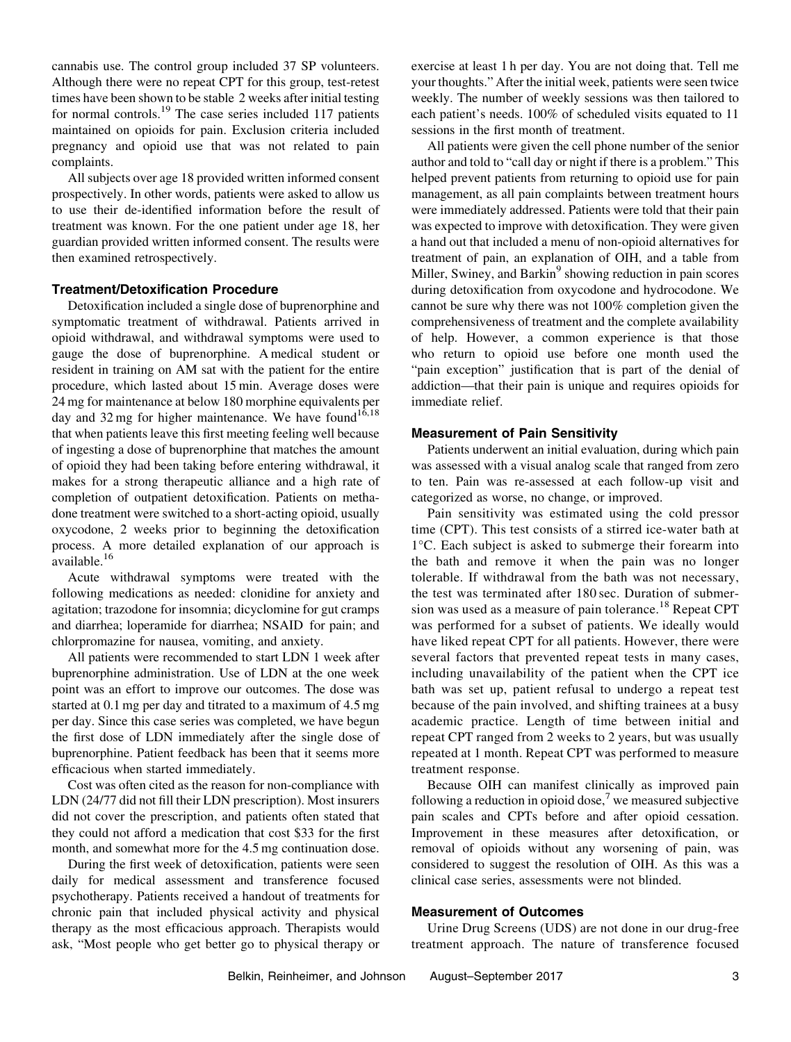cannabis use. The control group included 37 SP volunteers. Although there were no repeat CPT for this group, test-retest times have been shown to be stable 2 weeks after initial testing for normal controls.<sup>19</sup> The case series included 117 patients maintained on opioids for pain. Exclusion criteria included pregnancy and opioid use that was not related to pain complaints.

All subjects over age 18 provided written informed consent prospectively. In other words, patients were asked to allow us to use their de-identified information before the result of treatment was known. For the one patient under age 18, her guardian provided written informed consent. The results were then examined retrospectively.

# Treatment/Detoxification Procedure

Detoxification included a single dose of buprenorphine and symptomatic treatment of withdrawal. Patients arrived in opioid withdrawal, and withdrawal symptoms were used to gauge the dose of buprenorphine. A medical student or resident in training on AM sat with the patient for the entire procedure, which lasted about 15 min. Average doses were 24 mg for maintenance at below 180 morphine equivalents per day and 32 mg for higher maintenance. We have found<sup>16,18</sup> that when patients leave this first meeting feeling well because of ingesting a dose of buprenorphine that matches the amount of opioid they had been taking before entering withdrawal, it makes for a strong therapeutic alliance and a high rate of completion of outpatient detoxification. Patients on methadone treatment were switched to a short-acting opioid, usually oxycodone, 2 weeks prior to beginning the detoxification process. A more detailed explanation of our approach is available.<sup>16</sup>

Acute withdrawal symptoms were treated with the following medications as needed: clonidine for anxiety and agitation; trazodone for insomnia; dicyclomine for gut cramps and diarrhea; loperamide for diarrhea; NSAID for pain; and chlorpromazine for nausea, vomiting, and anxiety.

All patients were recommended to start LDN 1 week after buprenorphine administration. Use of LDN at the one week point was an effort to improve our outcomes. The dose was started at 0.1 mg per day and titrated to a maximum of 4.5 mg per day. Since this case series was completed, we have begun the first dose of LDN immediately after the single dose of buprenorphine. Patient feedback has been that it seems more efficacious when started immediately.

Cost was often cited as the reason for non-compliance with LDN (24/77 did not fill their LDN prescription). Most insurers did not cover the prescription, and patients often stated that they could not afford a medication that cost \$33 for the first month, and somewhat more for the 4.5 mg continuation dose.

During the first week of detoxification, patients were seen daily for medical assessment and transference focused psychotherapy. Patients received a handout of treatments for chronic pain that included physical activity and physical therapy as the most efficacious approach. Therapists would ask, "Most people who get better go to physical therapy or exercise at least 1 h per day. You are not doing that. Tell me your thoughts." After the initial week, patients were seen twice weekly. The number of weekly sessions was then tailored to each patient's needs. 100% of scheduled visits equated to 11 sessions in the first month of treatment.

All patients were given the cell phone number of the senior author and told to "call day or night if there is a problem." This helped prevent patients from returning to opioid use for pain management, as all pain complaints between treatment hours were immediately addressed. Patients were told that their pain was expected to improve with detoxification. They were given a hand out that included a menu of non-opioid alternatives for treatment of pain, an explanation of OIH, and a table from Miller, Swiney, and Barkin $<sup>9</sup>$  showing reduction in pain scores</sup> during detoxification from oxycodone and hydrocodone. We cannot be sure why there was not 100% completion given the comprehensiveness of treatment and the complete availability of help. However, a common experience is that those who return to opioid use before one month used the "pain exception" justification that is part of the denial of addiction—that their pain is unique and requires opioids for immediate relief.

# Measurement of Pain Sensitivity

Patients underwent an initial evaluation, during which pain was assessed with a visual analog scale that ranged from zero to ten. Pain was re-assessed at each follow-up visit and categorized as worse, no change, or improved.

Pain sensitivity was estimated using the cold pressor time (CPT). This test consists of a stirred ice-water bath at 1°C. Each subject is asked to submerge their forearm into the bath and remove it when the pain was no longer tolerable. If withdrawal from the bath was not necessary, the test was terminated after 180 sec. Duration of submersion was used as a measure of pain tolerance.<sup>18</sup> Repeat CPT was performed for a subset of patients. We ideally would have liked repeat CPT for all patients. However, there were several factors that prevented repeat tests in many cases, including unavailability of the patient when the CPT ice bath was set up, patient refusal to undergo a repeat test because of the pain involved, and shifting trainees at a busy academic practice. Length of time between initial and repeat CPT ranged from 2 weeks to 2 years, but was usually repeated at 1 month. Repeat CPT was performed to measure treatment response.

Because OIH can manifest clinically as improved pain following a reduction in opioid dose,<sup>7</sup> we measured subjective pain scales and CPTs before and after opioid cessation. Improvement in these measures after detoxification, or removal of opioids without any worsening of pain, was considered to suggest the resolution of OIH. As this was a clinical case series, assessments were not blinded.

#### Measurement of Outcomes

Urine Drug Screens (UDS) are not done in our drug-free treatment approach. The nature of transference focused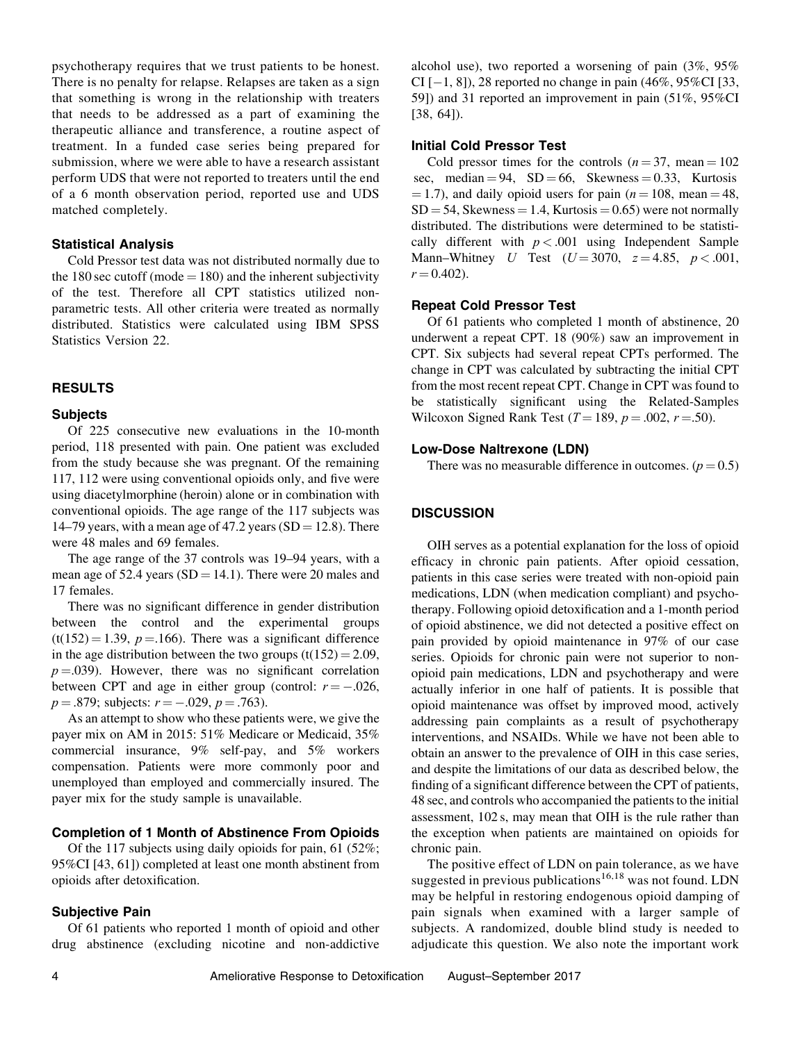psychotherapy requires that we trust patients to be honest. There is no penalty for relapse. Relapses are taken as a sign that something is wrong in the relationship with treaters that needs to be addressed as a part of examining the therapeutic alliance and transference, a routine aspect of treatment. In a funded case series being prepared for submission, where we were able to have a research assistant perform UDS that were not reported to treaters until the end of a 6 month observation period, reported use and UDS matched completely.

#### Statistical Analysis

Cold Pressor test data was not distributed normally due to the 180 sec cutoff (mode  $= 180$ ) and the inherent subjectivity of the test. Therefore all CPT statistics utilized nonparametric tests. All other criteria were treated as normally distributed. Statistics were calculated using IBM SPSS Statistics Version 22.

# RESULTS

#### Subjects

Of 225 consecutive new evaluations in the 10-month period, 118 presented with pain. One patient was excluded from the study because she was pregnant. Of the remaining 117, 112 were using conventional opioids only, and five were using diacetylmorphine (heroin) alone or in combination with conventional opioids. The age range of the 117 subjects was 14–79 years, with a mean age of 47.2 years  $(SD = 12.8)$ . There were 48 males and 69 females.

The age range of the 37 controls was 19–94 years, with a mean age of  $52.4$  years (SD = 14.1). There were 20 males and 17 females.

There was no significant difference in gender distribution between the control and the experimental groups  $(t(152) = 1.39, p = .166)$ . There was a significant difference in the age distribution between the two groups  $(t(152) = 2.09,$  $p = .039$ ). However, there was no significant correlation between CPT and age in either group (control:  $r = -.026$ ,  $p = .879$ ; subjects:  $r = -.029, p = .763$ ).

As an attempt to show who these patients were, we give the payer mix on AM in 2015: 51% Medicare or Medicaid, 35% commercial insurance, 9% self-pay, and 5% workers compensation. Patients were more commonly poor and unemployed than employed and commercially insured. The payer mix for the study sample is unavailable.

# Completion of 1 Month of Abstinence From Opioids

Of the 117 subjects using daily opioids for pain, 61 (52%; 95%CI [43, 61]) completed at least one month abstinent from opioids after detoxification.

#### Subjective Pain

Of 61 patients who reported 1 month of opioid and other drug abstinence (excluding nicotine and non-addictive alcohol use), two reported a worsening of pain (3%, 95%  $CI[-1, 8]$ , 28 reported no change in pain  $(46\%, 95\%CI[33, 10])$ 59]) and 31 reported an improvement in pain (51%, 95%CI [38, 64]).

# Initial Cold Pressor Test

Cold pressor times for the controls  $(n = 37, \text{ mean} = 102)$ sec, median = 94,  $SD = 66$ , Skewness = 0.33, Kurtosis  $(1, 1, 7)$ , and daily opioid users for pain ( $n = 108$ , mean  $= 48$ ,  $SD = 54$ , Skewness = 1.4, Kurtosis = 0.65) were not normally distributed. The distributions were determined to be statistically different with  $p < .001$  using Independent Sample Mann–Whitney U Test  $(U = 3070, z = 4.85, p < .001,$  $r = 0.402$ .

#### Repeat Cold Pressor Test

Of 61 patients who completed 1 month of abstinence, 20 underwent a repeat CPT. 18 (90%) saw an improvement in CPT. Six subjects had several repeat CPTs performed. The change in CPT was calculated by subtracting the initial CPT from the most recent repeat CPT. Change in CPT was found to be statistically significant using the Related-Samples Wilcoxon Signed Rank Test ( $T = 189$ ,  $p = .002$ ,  $r = .50$ ).

# Low-Dose Naltrexone (LDN)

There was no measurable difference in outcomes.  $(p = 0.5)$ 

# **DISCUSSION**

OIH serves as a potential explanation for the loss of opioid efficacy in chronic pain patients. After opioid cessation, patients in this case series were treated with non-opioid pain medications, LDN (when medication compliant) and psychotherapy. Following opioid detoxification and a 1-month period of opioid abstinence, we did not detected a positive effect on pain provided by opioid maintenance in 97% of our case series. Opioids for chronic pain were not superior to nonopioid pain medications, LDN and psychotherapy and were actually inferior in one half of patients. It is possible that opioid maintenance was offset by improved mood, actively addressing pain complaints as a result of psychotherapy interventions, and NSAIDs. While we have not been able to obtain an answer to the prevalence of OIH in this case series, and despite the limitations of our data as described below, the finding of a significant difference between the CPT of patients, 48 sec, and controls who accompanied the patients to the initial assessment, 102 s, may mean that OIH is the rule rather than the exception when patients are maintained on opioids for chronic pain.

The positive effect of LDN on pain tolerance, as we have suggested in previous publications<sup>16,18</sup> was not found. LDN may be helpful in restoring endogenous opioid damping of pain signals when examined with a larger sample of subjects. A randomized, double blind study is needed to adjudicate this question. We also note the important work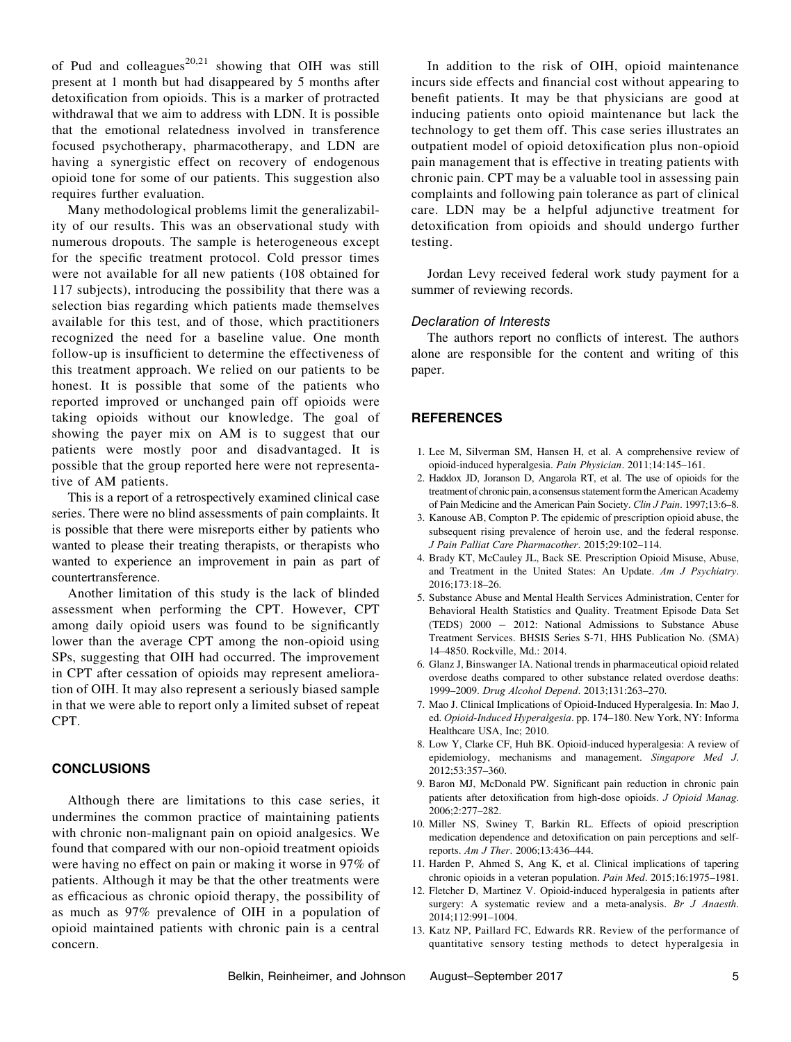of Pud and colleagues<sup>20,21</sup> showing that OIH was still present at 1 month but had disappeared by 5 months after detoxification from opioids. This is a marker of protracted withdrawal that we aim to address with LDN. It is possible that the emotional relatedness involved in transference focused psychotherapy, pharmacotherapy, and LDN are having a synergistic effect on recovery of endogenous opioid tone for some of our patients. This suggestion also requires further evaluation.

Many methodological problems limit the generalizability of our results. This was an observational study with numerous dropouts. The sample is heterogeneous except for the specific treatment protocol. Cold pressor times were not available for all new patients (108 obtained for 117 subjects), introducing the possibility that there was a selection bias regarding which patients made themselves available for this test, and of those, which practitioners recognized the need for a baseline value. One month follow-up is insufficient to determine the effectiveness of this treatment approach. We relied on our patients to be honest. It is possible that some of the patients who reported improved or unchanged pain off opioids were taking opioids without our knowledge. The goal of showing the payer mix on AM is to suggest that our patients were mostly poor and disadvantaged. It is possible that the group reported here were not representative of AM patients.

This is a report of a retrospectively examined clinical case series. There were no blind assessments of pain complaints. It is possible that there were misreports either by patients who wanted to please their treating therapists, or therapists who wanted to experience an improvement in pain as part of countertransference.

Another limitation of this study is the lack of blinded assessment when performing the CPT. However, CPT among daily opioid users was found to be significantly lower than the average CPT among the non-opioid using SPs, suggesting that OIH had occurred. The improvement in CPT after cessation of opioids may represent amelioration of OIH. It may also represent a seriously biased sample in that we were able to report only a limited subset of repeat CPT.

# CONCLUSIONS

Although there are limitations to this case series, it undermines the common practice of maintaining patients with chronic non-malignant pain on opioid analgesics. We found that compared with our non-opioid treatment opioids were having no effect on pain or making it worse in 97% of patients. Although it may be that the other treatments were as efficacious as chronic opioid therapy, the possibility of as much as 97% prevalence of OIH in a population of opioid maintained patients with chronic pain is a central concern.

In addition to the risk of OIH, opioid maintenance incurs side effects and financial cost without appearing to benefit patients. It may be that physicians are good at inducing patients onto opioid maintenance but lack the technology to get them off. This case series illustrates an outpatient model of opioid detoxification plus non-opioid pain management that is effective in treating patients with chronic pain. CPT may be a valuable tool in assessing pain complaints and following pain tolerance as part of clinical care. LDN may be a helpful adjunctive treatment for detoxification from opioids and should undergo further testing.

Jordan Levy received federal work study payment for a summer of reviewing records.

#### Declaration of Interests

The authors report no conflicts of interest. The authors alone are responsible for the content and writing of this paper.

#### **REFERENCES**

- 1. Lee M, Silverman SM, Hansen H, et al. A comprehensive review of opioid-induced hyperalgesia. Pain Physician. 2011;14:145–161.
- 2. Haddox JD, Joranson D, Angarola RT, et al. The use of opioids for the treatment of chronic pain, a consensus statement formthe American Academy of Pain Medicine and the American Pain Society. Clin J Pain. 1997;13:6–8.
- 3. Kanouse AB, Compton P. The epidemic of prescription opioid abuse, the subsequent rising prevalence of heroin use, and the federal response. J Pain Palliat Care Pharmacother. 2015;29:102–114.
- 4. Brady KT, McCauley JL, Back SE. Prescription Opioid Misuse, Abuse, and Treatment in the United States: An Update. Am J Psychiatry. 2016;173:18–26.
- 5. Substance Abuse and Mental Health Services Administration, Center for Behavioral Health Statistics and Quality. Treatment Episode Data Set (TEDS) 2000 - 2012: National Admissions to Substance Abuse Treatment Services. BHSIS Series S-71, HHS Publication No. (SMA) 14–4850. Rockville, Md.: 2014.
- 6. Glanz J, Binswanger IA. National trends in pharmaceutical opioid related overdose deaths compared to other substance related overdose deaths: 1999–2009. Drug Alcohol Depend. 2013;131:263–270.
- 7. Mao J. Clinical Implications of Opioid-Induced Hyperalgesia. In: Mao J, ed. Opioid-Induced Hyperalgesia. pp. 174–180. New York, NY: Informa Healthcare USA, Inc; 2010.
- 8. Low Y, Clarke CF, Huh BK. Opioid-induced hyperalgesia: A review of epidemiology, mechanisms and management. Singapore Med J. 2012;53:357–360.
- 9. Baron MJ, McDonald PW. Significant pain reduction in chronic pain patients after detoxification from high-dose opioids. J Opioid Manag. 2006;2:277–282.
- 10. Miller NS, Swiney T, Barkin RL. Effects of opioid prescription medication dependence and detoxification on pain perceptions and selfreports. Am J Ther. 2006;13:436–444.
- 11. Harden P, Ahmed S, Ang K, et al. Clinical implications of tapering chronic opioids in a veteran population. Pain Med. 2015;16:1975–1981.
- 12. Fletcher D, Martinez V. Opioid-induced hyperalgesia in patients after surgery: A systematic review and a meta-analysis. Br J Anaesth. 2014;112:991–1004.
- 13. Katz NP, Paillard FC, Edwards RR. Review of the performance of quantitative sensory testing methods to detect hyperalgesia in